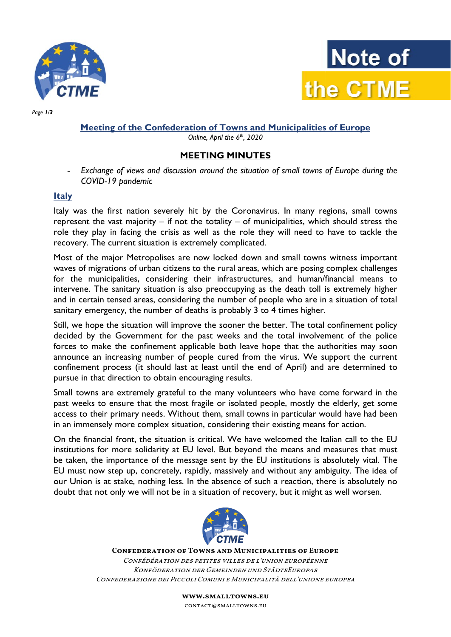



Page 1/3

# Meeting of the Confederation of Towns and Municipalities of Europe

Online, April the  $6<sup>th</sup>$ , 2020

### MEETING MINUTES

- Exchange of views and discussion around the situation of small towns of Europe during the COVID-19 pandemic

#### Italy

Italy was the first nation severely hit by the Coronavirus. In many regions, small towns represent the vast majority – if not the totality – of municipalities, which should stress the role they play in facing the crisis as represent the vast majority – if not the totality – of municipalities, which should stress the role they play in facing the crisis as well as the role they will need to have to tackle recovery. The current situation is extremely complicated.

recovery. The current situation is extremely complicated.<br>Most of the major Metropolises are now locked down and small towns witness important waves of migrations of urban citizens to the rural areas, which are posing complex challenges Most of the major Metropolises are now locked down and small towns witness important<br>waves of migrations of urban citizens to the rural areas, which are posing complex challenges<br>for the municipalities, considering their i intervene. The sanitary situation is also preoccupying as the death toll is extremely higher intervene. The sanitary situation is also preoccupying as the death toll is extremely higher<br>and in certain tensed areas, considering the number of people who are in a situation of total sanitary emergency, the number of deaths is probably 3 to 4 times higher.

Still, we hope the situation will improve the sooner the better. The total confinement policy decided by the Government for the past weeks and the total involvement of the police<br>forces to make the confinement applicable both leave hope that the authorities may soon forces to make the confinement applicable both leave hope that the authorities may soon announce an increasing number of people cured from the virus. We support the current confinement process (it should last at least until the end of April) and are determined to pursue in that direction to obtain encouraging results.

Small towns are extremely grateful to the many volunteers who have come forward in the<br>past weeks to ensure that the most fragile or isolated people, mostly the elderly, get some<br>access to their primary needs. Without them past weeks to ensure that the most fragile or isolated people, mostly the elderly, get some access to their primary needs. Without them, small towns in particular would have had been in an immensely more complex situation, considering their existing means for action.

On the financial front, the situation is critical. We have welcomed the Italian call to the EU in an immensely more complex situation, considering their existing means for action.<br>On the financial front, the situation is critical. We have welcomed the Italian call to the EU<br>institutions for more solidarity at EU lev be taken, the importance of the message sent by the EU institutions is absolutely vital. The EU must now step up, concretely, rapidly, massively and without any ambiguity. The idea of our Union is at stake, nothing less. In the absence of such a reaction, there is absolutely no doubt that not only we will not be in a situation of recovery, but it might as well worsen.



Confederation of Towns and Municipalities of Europe Confédération des petites villes de l'union européenne nfédération des petites villes de l'union européenne<br>Konföderation der Gemeinden und StädteEuropas Confederazione dei Piccoli Comuni e Municipalità Municipalità dell'unione europea

> www.smalltowns.eu contact@smalltowns.eu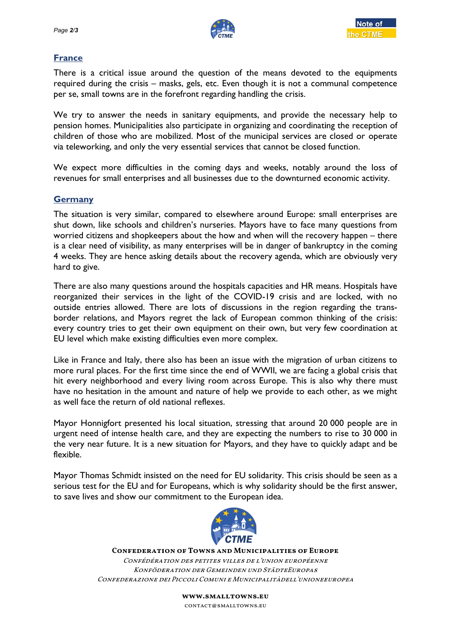

# **France**

There is a critical issue around the question of the means devoted to the equipments required during the crisis – masks, gels, etc. Even though it is not a communal competence per se, small towns are in the forefront regarding handling the crisis.

per se, small towns are in the forefront regarding handling the crisis.<br>We try to answer the needs in sanitary equipments, and provide the necessary help to pension homes. Municipalities also participate in organizing and coordinating the reception of via teleworking, and only the very essential services that cannot be closed function. %, and provide the necessary help to<br>zing and coordinating the reception of<br>nicipal services are closed or operate<br>t cannot be closed function.<br>I weeks, notably around the loss of<br>o the downturned economic activity.<br>around

children of those who are mobilized. Most of the municipal services are closed or operate<br>via teleworking, and only the very essential services that cannot be closed function.<br>We expect more difficulties in the coming days We expect more difficulties in the coming days and weeks, notably around the loss of revenues for small enterprises and all businesses due to the downturned economic activity.

### **Germany**

The situation is very similar, compared to elsewhere around Europe: small shut down, like schools and children's nurseries. Mayors have to face many questions from worried citizens and shopkeepers about the how and when will the recovery happen – there<br>is a clear need of visibility, as many enterprises will be in danger of bankruptcy in the coming is a clear need of visibility, as many enterprises will be in danger of bankruptcy in the coming 4 weeks. They are hence asking details about the recovery agenda, which are obviously very hard to give. ce many questions from<br>recovery happen – there

There are also many questions around the hospitals capacities and HR means. Hospitals reorganized their services in the light of the COVID-19 crisis and are locked, with no outside entries allowed. There are lots of discussions in the region regarding the transborder relations, and Mayors regret the lack of European common thinking of the crisis: every country tries to get their own equipment on their own, but very few coordination at EU level which make existing difficulties even more complex. ey are hence asking details about the recovery agenda, which an<br>io many questions around the hospitals capacities and HR mean<br>their services in the light of the COVID-19 crisis and are have

Like in France and Italy, there also has been an issue with the migration of urban citizens to more rural places. For the first time since the end of WWII, we are facing a global crisis that hit every neighborhood and every living room across Europe. This is also why there must have no hesitation in the amount and nature of help we provide to each other, as we might<br>as well face the return of old national reflexes. as well face the return of old national reflexes. Italy, there also has been an issue with the migration of urban citizens to<br>For the first time since the end of WWII, we are facing a global crisis that<br>hood and every living room across Europe. This is also why there must but very few coordination at<br>igration of urban citizens to<br>are facing a global crisis that<br>This is also why there must<br>to each other, as we might<br>round 20 000 people are in

Mayor Honnigfort presented his local situation, stressing that around 20 urgent need of intense health care, and they are expecting the numbers to rise to 30 000 in the very near future. It is a new situation for Mayors, and they have to quickly adapt and be flexible. the very near future. It is a new situation for Mayors, and they have to quickly adapt and be<br>flexible.<br>Mayor Thomas Schmidt insisted on the need for EU solidarity. This crisis should be seen as a

serious test for the EU and for Europeans, which is why solidarity should be the first answer,<br>to save lives and show our commitment to the European idea. to save lives and show our commitment to the European idea.



Confederation of Towns and Municipalities of Europe Confédération des petites villes de l'union européenne Konföderation der Gemeinden und StädteEuropas Confederazione dei Piccoli Comuni e Municipalitàdell'unioneeuropea Confédération des petites villes de l'union européenne<br>Konföderation der Gemeinden und StädteEuropas<br>Confederazione dei Piccoli Comuni e Municipalitàdell'unionee

> www.smalltowns.eu contact@smalltowns.eu